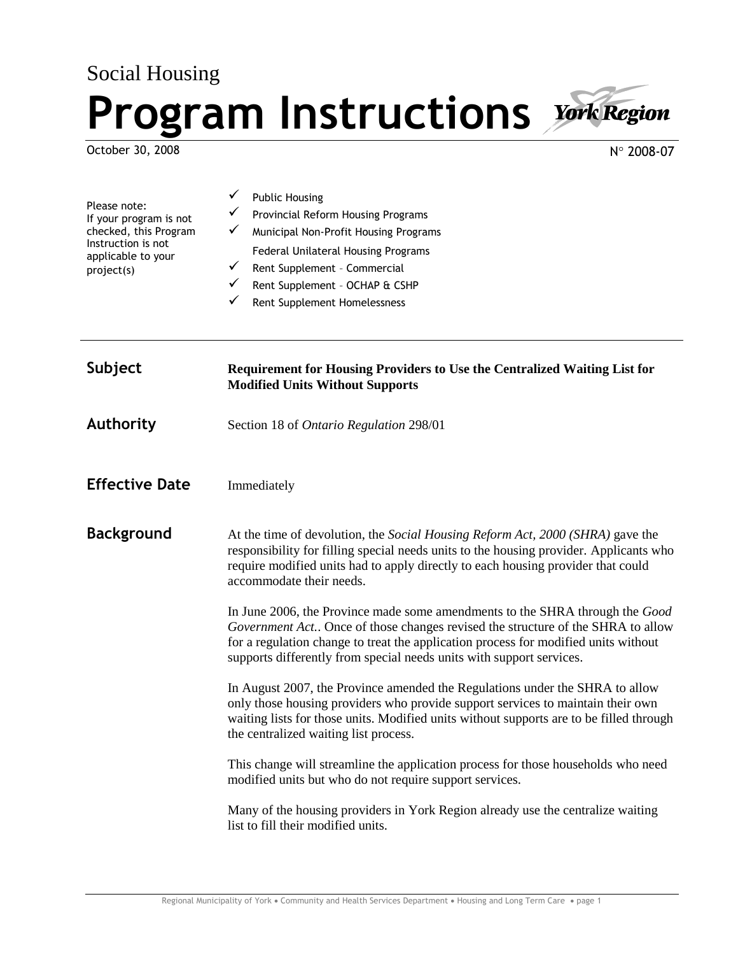## Social Housing **Program Instructions**

accommodate their needs.

October 30, 2008

 $N^{\circ}$  2008-07

| Please note:<br>If your program is not<br>checked, this Program<br>Instruction is not<br>applicable to your<br>project(s) | <b>Public Housing</b><br>Provincial Reform Housing Programs<br>✓<br>Municipal Non-Profit Housing Programs<br>v<br>Federal Unilateral Housing Programs<br>Rent Supplement - Commercial<br>$\checkmark$<br>Rent Supplement - OCHAP & CSHP<br>Rent Supplement Homelessness |
|---------------------------------------------------------------------------------------------------------------------------|-------------------------------------------------------------------------------------------------------------------------------------------------------------------------------------------------------------------------------------------------------------------------|
| Subject                                                                                                                   | <b>Requirement for Housing Providers to Use the Centralized Waiting List for</b><br><b>Modified Units Without Supports</b>                                                                                                                                              |
| <b>Authority</b>                                                                                                          | Section 18 of Ontario Regulation 298/01                                                                                                                                                                                                                                 |
| <b>Effective Date</b>                                                                                                     | Immediately                                                                                                                                                                                                                                                             |
| <b>Background</b>                                                                                                         | At the time of devolution, the <i>Social Housing Reform Act</i> , 2000 (SHRA) gave the<br>responsibility for filling special needs units to the housing provider. Applicants who                                                                                        |

In June 2006, the Province made some amendments to the SHRA through the *Good Government Act.*. Once of those changes revised the structure of the SHRA to allow for a regulation change to treat the application process for modified units without supports differently from special needs units with support services.

require modified units had to apply directly to each housing provider that could

In August 2007, the Province amended the Regulations under the SHRA to allow only those housing providers who provide support services to maintain their own waiting lists for those units. Modified units without supports are to be filled through the centralized waiting list process.

This change will streamline the application process for those households who need modified units but who do not require support services.

Many of the housing providers in York Region already use the centralize waiting list to fill their modified units.